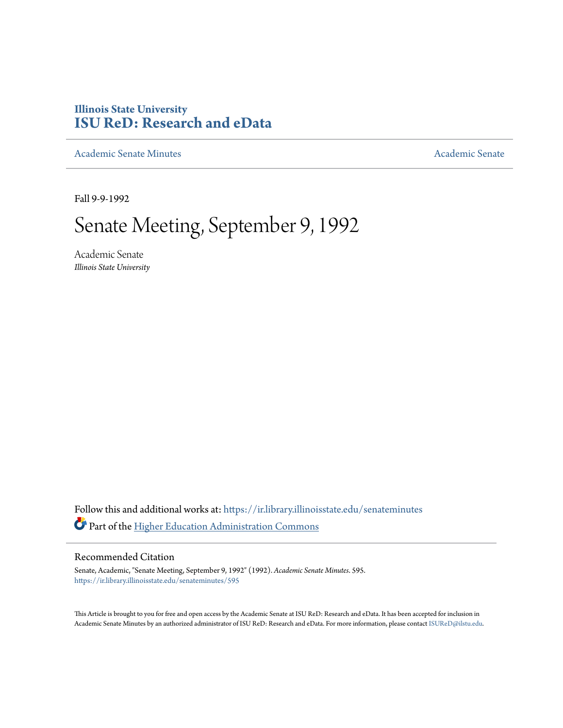# **Illinois State University [ISU ReD: Research and eData](https://ir.library.illinoisstate.edu?utm_source=ir.library.illinoisstate.edu%2Fsenateminutes%2F595&utm_medium=PDF&utm_campaign=PDFCoverPages)**

[Academic Senate Minutes](https://ir.library.illinoisstate.edu/senateminutes?utm_source=ir.library.illinoisstate.edu%2Fsenateminutes%2F595&utm_medium=PDF&utm_campaign=PDFCoverPages) [Academic Senate](https://ir.library.illinoisstate.edu/senate?utm_source=ir.library.illinoisstate.edu%2Fsenateminutes%2F595&utm_medium=PDF&utm_campaign=PDFCoverPages) Academic Senate

Fall 9-9-1992

# Senate Meeting, September 9, 1992

Academic Senate *Illinois State University*

Follow this and additional works at: [https://ir.library.illinoisstate.edu/senateminutes](https://ir.library.illinoisstate.edu/senateminutes?utm_source=ir.library.illinoisstate.edu%2Fsenateminutes%2F595&utm_medium=PDF&utm_campaign=PDFCoverPages) Part of the [Higher Education Administration Commons](http://network.bepress.com/hgg/discipline/791?utm_source=ir.library.illinoisstate.edu%2Fsenateminutes%2F595&utm_medium=PDF&utm_campaign=PDFCoverPages)

# Recommended Citation

Senate, Academic, "Senate Meeting, September 9, 1992" (1992). *Academic Senate Minutes*. 595. [https://ir.library.illinoisstate.edu/senateminutes/595](https://ir.library.illinoisstate.edu/senateminutes/595?utm_source=ir.library.illinoisstate.edu%2Fsenateminutes%2F595&utm_medium=PDF&utm_campaign=PDFCoverPages)

This Article is brought to you for free and open access by the Academic Senate at ISU ReD: Research and eData. It has been accepted for inclusion in Academic Senate Minutes by an authorized administrator of ISU ReD: Research and eData. For more information, please contact [ISUReD@ilstu.edu.](mailto:ISUReD@ilstu.edu)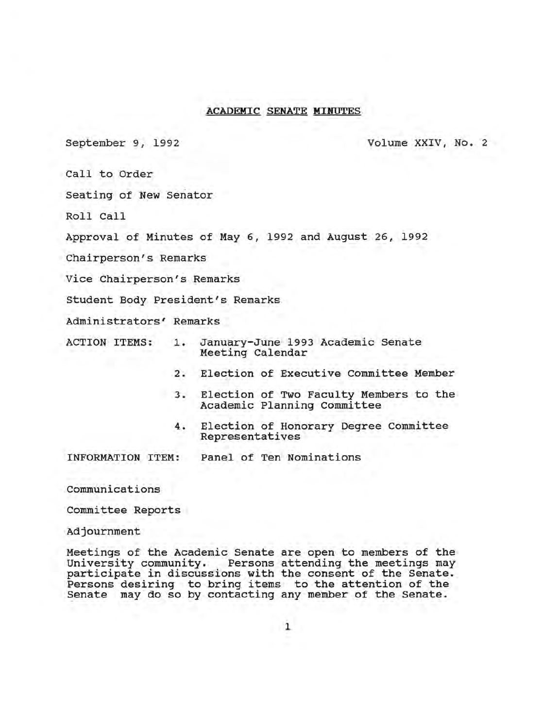# ACADEMIC SENATE MINUTES

September 9, 1992 Volume XXIV, No. 2

Call to Order

Seating of New Senator

Roll Call

Approval of Minutes of May 6, 1992 and August 26, 1992

Chairperson's Remarks

Vice Chairperson's Remarks

Student Body President's Remarks

Administrators' Remarks

- ACTION ITEMS: 1. January-June 1993 Academic Senate Meeting Calendar
	- 2. Election of Executive Committee Member
	- 3. Election of Two Faculty Members to the Academic Planning Committee
	- 4. Election of Honorary Degree Committee Representatives

INFORMATION ITEM: Panel of Ten Nominations

communications

Committee Reports

Adjournment

Meetings of the Academic Senate are open to members of the University community. Persons attending the meetings may participate in discussions with the consent of the Senate. Persons desiring to bring items to the attention of the Senate may do so by contacting any member of the Senate.

1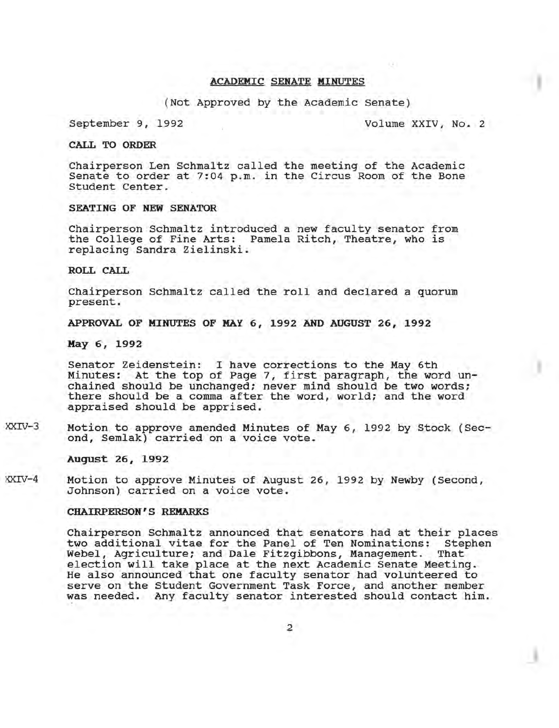# ACADEMIC SENATE MINUTES

(Not Approved by the Academic Senate)

September 9, 1992 Volume XXIV, No. 2

CALL TO ORDER

Chairperson Len Schmaltz called the meeting of the Academic Senate to order at 7:04 p.m. in the Circus Room of the Bone Student Center.

# SEATING OF NEW SENATOR

Chairperson Schmaltz introduced a new faculty senator from the College of Fine Arts: Pamela Ritch, Theatre, who is replacing Sandra Zielinski.

ROLL CALL

Chairperson Schmaltz called the roll and declared a quorum present.

APPROVAL OF MINUTES OF MAY 6, 1992 AND AUGUST 26, 1992

May 6, 1992

Senator Zeidenstein: I have corrections to the May 6th Minutes: At the top of Page 7, first paragraph, the word unchained should be unchanged; never mind should be two words; there should be a comma after the word, world; and the word appraised should be apprised.

XXIV-3 Motion to approve amended Minutes of May 6, 1992 by Stock (Second, Semlak) carried on a voice vote.

August 26, 1992

XXIV-4 Motion to approve Minutes of August 26, 1992 by Newby (Second, Johnson) carried on a voice vote.

#### CHAIRPERSON'S REMARKS

Chairperson Schmaltz announced that senators had at their places two additional vitae for the Panel of Ten Nominations: Stephen<br>Webel, Agriculture; and Dale Fitzgibbons, Management. That Webel, Agriculture; and Dale Fitzgibbons, Management. election will take place at the next Academic Senate Meeting. He also announced that one faculty senator had volunteered to serve on the Student Government Task Force, and another member was needed. Any faculty senator interested should contact him.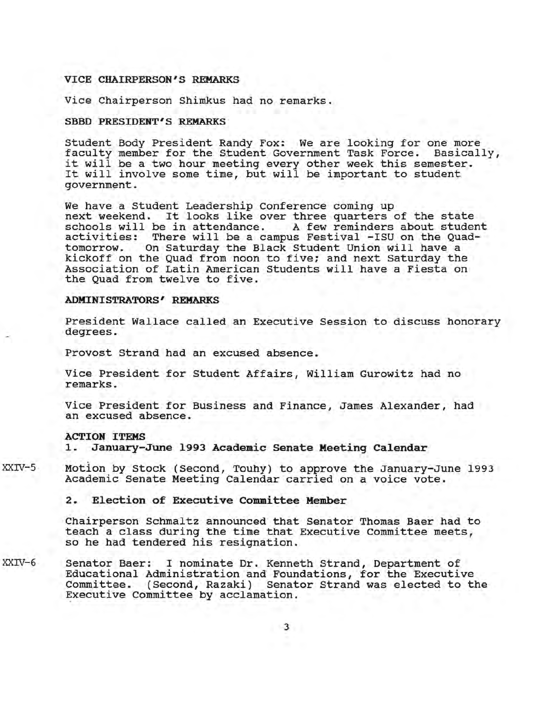## VICE CHAIRPERSON'S REMARKS

Vice Chairperson Shimkus had no remarks.

## SBBD PRESIDENT'S REMARKS

Student Body President Randy Fox: We are looking for one more<br>faculty member for the Student Government Task Force. Basically, faculty member for the Student Government Task Force. raculty member for the student Government fask force. Basica.<br>it will be a two hour meeting every other week this semester. It will be a two nour meeting every other week this semester<br>It will involve some time, but will be important to student government.

We have a Student Leadership Conference coming up next weekend. It looks like over three quarters of the state schools will be in attendance. A few reminders about studer schools will be in attendance. A few reminders about student<br>activities: There will be a campus Festival -ISU on the Quadactivities: There will be a campus Festival -ISU on the Quad-<br>tomorrow. On Saturday the Black Student Union will have a On Saturday the Black Student Union will have a kickoff on the Quad from noon to five; and next Saturday the Association of Latin American Students will have a Fiesta on the Quad from twelve to five.

# ADMINISTRATORS' REMARKS

President Wallace called an Executive Session to discuss honorary degrees.

Provost Strand had an excused absence.

Vice President for Student Affairs, William Gurowitz had no remarks.

Vice President for Business and Finance, James Alexander, had an excused absence.

## ACTION ITEMS

1. January-June 1993 Academic Senate Meeting Calendar

- XXIV-S Motion by Stock (Second, Touhy) to approve the January-June 1993 Academic Senate Meeting Calendar carried on a voice vote.
	- 2. Election of Executive Committee Member

Chairperson Schmaltz announced that Senator Thomas Baer had to teach a class during the time that Executive Committee meets, so he had tendered his resignation.

XXIV-6 Senator Baer: I nominate Dr. Kenneth Strand, Department of Educational Administration and Foundations, for the Executive Committee. (Second, Razaki) Senator Strand was elected to the Executive Committee by acclamation.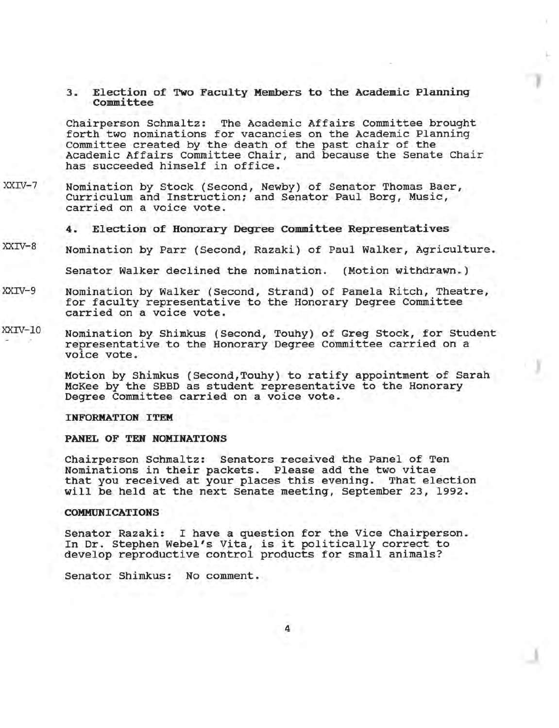3. Election of Two Faculty Members to the Academic Planning committee

Chairperson Schmaltz: The Academic Affairs Committee brought forth two nominations for vacancies on the Academic Planning Committee created by the death of the past chair of the Academic Affairs Committee Chair, and because the Senate Chair has succeeded himself in office.

XXIV-7 Nomination by Stock (Second, Newby) of Senator Thomas Baer, Curriculum and Instruction; and Senator Paul Borg, Music, carried on a voice vote.

4. Election of Honorary Degree committee Representatives

XXIV-8 Nomination by Parr (Second, Razaki) of Paul Walker, Agriculture.

Senator Walker declined the nomination. (Motion withdrawn.)

- XXIV-9 Nomination by Walker (Second, Strand) of Pamela Ritch, Theatre, for faculty representative to the Honorary Degree Committee carried on a voice vote.
- XXIV-lO Nomination by Shimkus (Second, Touhy) of Greg Stock, for Student representative to the Honorary Degree Committee carried on a voice vote.

Motion by Shimkus (Second, Touhy) to ratify appointment of Sarah McKee by the SBBD as student representative to the Honorary Degree committee carried on a voice vote.

#### INFORMATION ITEM

#### PANEL OF TEN NOMINATIONS

Chairperson Schmaltz: Senators received the Panel of Ten Nominations in their packets. Please add the two vitae that you received at your places this evening. That election will be held at the next Senate meeting, September 23, 1992.

# COMMUNICATIONS

Senator Razaki: I have a question for the Vice Chairperson. In Dr. Stephen Webel's Vita, is it politically correct to develop reproductive control products for small animals?

Senator Shimkus: No comment.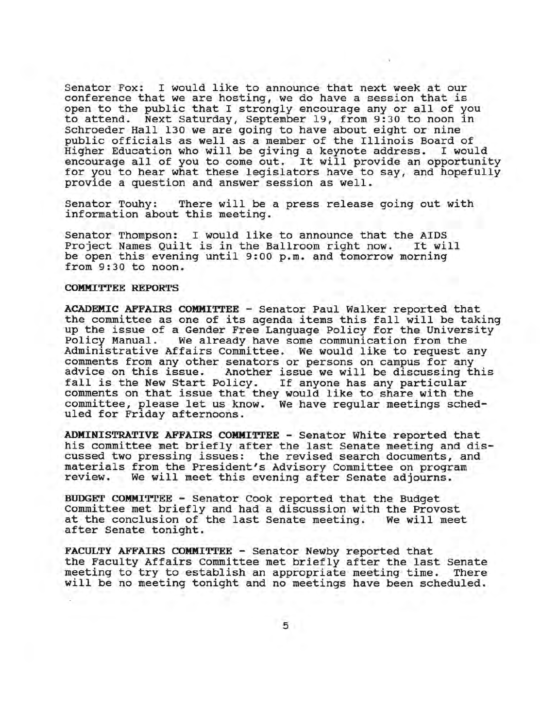Senator Fox: I would like to announce that next week at our conference that we are hosting, we do have a session that is open to the public that I strongly encourage any or all of you to attend. Next Saturday, September 19, from 9:30 to noon in Schroeder Hall 130 we are going to have about eight or nine public officials as well as a member of the Illinois Board of<br>Higher Education who will be giving a keynote address. I would Higher Education who will be giving a keynote address. encourage all of you to come out. It will provide an opportunity for you to hear what these legislators have to say, and hopefully provide a question and answer session as well.

Senator Touhy: There will be a press release going out with information about this meeting.

Senator Thompson: I would like to announce that the AIDS<br>Project Names Ouilt is in the Ballroom right now. It will Project Names Quilt is in the Ballroom right now. be open this evening until 9:00 p.m. and tomorrow morning from 9:30 to noon.

#### COMMITTEE REPORTS

ACADEMIC AFFAIRS COMMITTEE - Senator Paul Walker reported that the committee as one of its agenda items this fall will be taking up the issue of a Gender Free Language Policy for the University<br>Policy Manual. We already have some communication from the We already have some communication from the Administrative Affairs committee. We would like to request any comments from any other senators or persons on campus for any Another issue we will be discussing this blicy. If anyone has any particular fall is the New Start Policy. comments on that issue that they would like to share with the committee, please let us know. We have regular meetings scheduled for Friday afternoons.

ADMINISTRATIVE AFFAIRS COMMITTEE - Senator white reported that his committee met briefly after the last Senate meeting and discussed two pressing issues: the revised search documents, and materials from the President's Advisory committee on program review. We will meet this evening after Senate adjourns.

BUDGET COMMITTEE - Senator Cook reported that the Budget Committee met briefly and had a discussion with the Provost at the conclusion of the last Senate meeting. We will meet after Senate tonight.

FACULTY AFFAIRS COMMITTEE - Senator Newby reported that the Faculty Affairs Committee met briefly after the last Senate meeting to try to establish an appropriate meeting time. There will be no meeting tonight and no meetings have been scheduled.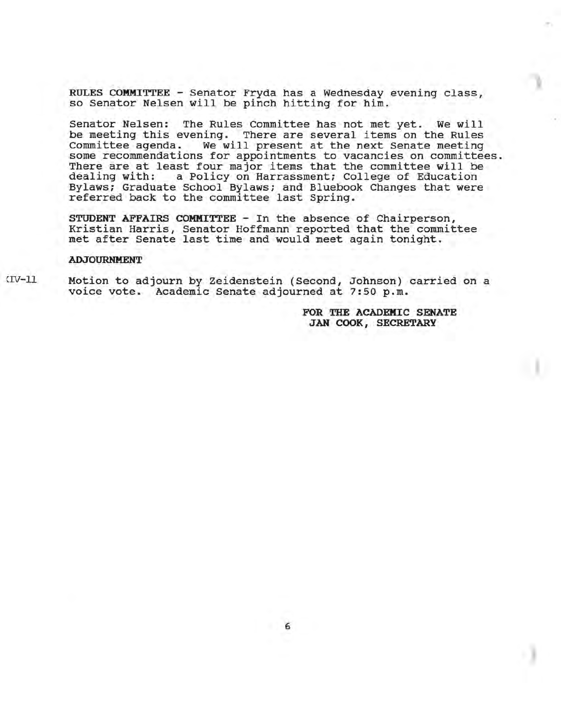RULES COMMITTEE - Senator Fryda has a Wednesday evening class, so Senator Nelsen will be pinch hitting for him.

Senator Nelsen: The Rules Committee has not met yet. We will be meeting this evening. There are several items on the Rules Committee agenda. We will present at the next Senate meeting some recommendations for appointments to vacancies on committees. There are at least four major items that the committee will be dealing with: a Policy on Harrassment; College of Education a Policy on Harrassment; College of Education Bylaws; Graduate School Bylaws; and Bluebook Changes that were referred back to the committee last Spring.

STUDENT AFFAIRS COMMITTEE - In the absence of Chairperson, Kristian Harris, Senator Hoffmann reported that the committee met after Senate last time and would meet again tonight.

#### ADJOURNMENT

 $IV-11$ 

Motion to adjourn by Zeidenstein (Second, Johnson) carried on a voice vote. Academic Senate adjourned at 7:50 p.m.

> FOR THE ACADEMIC SENATE JAN COOK, SECRETARY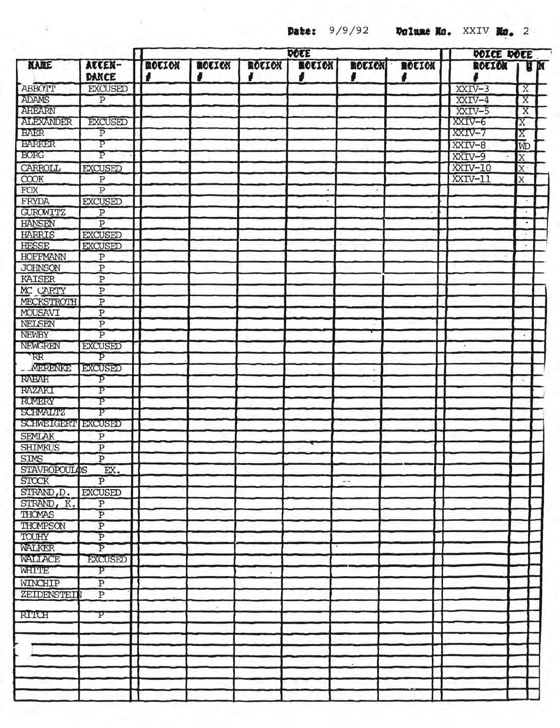ò.

**Date:**  $9/9/92$  **Dolume No.** XXIV **No.** 2

|                                 |                                           | DOCE               |        |        |             |                          |             |  | DOICE DOEE |           |                       |
|---------------------------------|-------------------------------------------|--------------------|--------|--------|-------------|--------------------------|-------------|--|------------|-----------|-----------------------|
| KARE                            | ATTEN-<br>DANCE                           | <b>MOLION</b><br>, | ROLION | ROLION | ROLION<br>8 | <b>ROUION</b><br>J       | ROLION<br>ı |  | ROUION     |           | <b>N</b> <sub>N</sub> |
| ABBOTT                          | <b>EXCUSED</b>                            |                    |        |        |             |                          |             |  | XXIV-3     | X         |                       |
| ADAMS                           | $\overline{P}$                            |                    |        |        |             |                          |             |  | $XXIV-4$   | X         |                       |
| <b>AHEARN</b>                   |                                           |                    |        |        |             |                          |             |  | XXIV-5     | X         |                       |
| <b>ALEXANDER</b>                | <b>EXCUSED</b>                            |                    |        |        |             |                          |             |  | XXIV-6     | $X \cdot$ |                       |
| <b>BAER</b>                     | $\overline{P}$                            |                    |        |        |             |                          |             |  | XXIV-7     | X         |                       |
| <b>BARKER</b>                   | P                                         |                    |        |        |             |                          |             |  | XXIV-8     | ΙŴ        |                       |
| <b>BORG</b>                     | Þ                                         |                    |        |        |             |                          |             |  | XXIV-9     | X         |                       |
| CARROLL                         | <b>EXCUSED</b>                            |                    |        |        |             |                          |             |  | XXIV-10    | X         |                       |
| COOK                            | $\, {\bf P}$                              |                    |        |        |             |                          |             |  | XXIV-11    | X         |                       |
| <b>FOX</b>                      | $\overline{\mathrm{P}}$                   |                    |        |        |             |                          |             |  |            |           |                       |
| FRYDA                           | <b>EXCUSED</b>                            |                    |        |        |             |                          |             |  |            |           |                       |
| <b>GUROWITZ</b>                 | $\overline{P}$                            |                    |        |        |             |                          |             |  |            |           |                       |
| <b>HANSEN</b>                   | $\overline{P}$                            |                    |        |        |             |                          |             |  |            |           |                       |
| HARRIS                          | <b>EXCUSED</b>                            |                    |        |        |             |                          |             |  |            |           |                       |
| <b>HESSE</b>                    | <b>EXCUSED</b>                            |                    |        |        |             |                          |             |  |            |           |                       |
| <b>HOFFMANN</b>                 | $\, {\bf P}$                              |                    |        |        |             |                          |             |  |            |           |                       |
| <b>JOHNSON</b>                  | $\overline{\text{P}}$                     |                    |        |        |             |                          |             |  |            |           |                       |
| KAISER                          | $\overline{\text{P}}$                     |                    |        |        |             |                          |             |  |            |           |                       |
| MC CARTY                        | $\overline{P}$                            |                    |        |        |             |                          |             |  |            |           |                       |
| MECKSTROTH                      | $\overline{P}$                            |                    |        |        |             |                          |             |  |            |           |                       |
| MOUSAVI                         | $\overline{P}$                            |                    |        |        |             |                          |             |  |            |           |                       |
| NELSEN                          | $\overline{P}$                            |                    |        |        |             |                          |             |  |            |           |                       |
| NEWBY                           | $\overline{P}$                            |                    |        |        |             |                          |             |  |            |           |                       |
| NEWGREN                         | <b>EXCUSED</b>                            |                    |        |        |             |                          |             |  |            |           |                       |
| RR <sup>-</sup>                 | Þ                                         |                    |        |        |             |                          |             |  |            |           |                       |
| <b>MERENKE</b>                  | <b>EXCUSED</b>                            |                    |        |        |             |                          |             |  |            |           |                       |
| <b>RABAH</b>                    | p                                         |                    |        |        |             |                          |             |  |            | ٠.        |                       |
| <b>RAZAKI</b>                   | $\overline{\mathrm{P}}$                   |                    |        |        |             |                          |             |  |            |           |                       |
| <b>RUMERY</b>                   | p                                         |                    |        |        |             |                          |             |  |            |           |                       |
| <b>SCHMALTZ</b>                 | P                                         |                    |        |        |             |                          |             |  |            |           |                       |
| <b>SCHWEIGERT EXCUSED</b>       |                                           |                    |        |        |             |                          |             |  |            |           |                       |
|                                 |                                           |                    |        |        |             |                          |             |  |            |           |                       |
| <b>SEMLAK</b><br><b>SHIMKUS</b> | $\overline{\mathbf{P}}$<br>$\overline{P}$ |                    |        |        |             |                          |             |  |            |           |                       |
| <b>SIMS</b>                     | $\overline{P}$                            |                    |        |        |             |                          |             |  |            |           |                       |
| <b>STAVROPOULOS</b>             |                                           |                    |        |        |             |                          |             |  |            |           |                       |
| <b>STOCK</b>                    | EX.<br>$\overline{P}$                     |                    |        |        |             |                          |             |  |            |           |                       |
| STRAND, D.                      |                                           |                    |        |        |             | $\overline{\phantom{a}}$ |             |  |            |           |                       |
|                                 | <b>EXCUSED</b>                            |                    |        |        |             |                          |             |  |            |           |                       |
| STRAND, K.                      | $\, {\bf p}$                              |                    |        |        |             |                          |             |  |            |           |                       |
| <b>THOMAS</b>                   | $\overline{P}$                            |                    |        |        |             |                          |             |  |            |           |                       |
| THOMPSON                        | $\overline{P}$<br>$\overline{P}$          |                    |        |        |             |                          |             |  |            |           |                       |
| TOUHY                           | $\overline{\mathrm{P}}$                   |                    |        |        |             |                          |             |  |            |           |                       |
| WALKER                          |                                           |                    |        |        |             |                          |             |  |            |           |                       |
| <b>WAIT ACE</b>                 | <b>EXCUSED</b>                            |                    |        |        |             |                          |             |  |            |           |                       |
| WHITE                           | P                                         |                    |        |        |             |                          |             |  |            |           |                       |
| WINCHIP                         | $\overline{P}$                            |                    |        |        |             |                          |             |  |            |           |                       |
| ZEIDENSTEI                      | $\overline{P}$                            |                    |        |        |             |                          |             |  |            |           |                       |
|                                 |                                           |                    | K.     |        |             |                          |             |  |            |           |                       |
| <b>RITCH</b>                    | P                                         |                    |        |        |             |                          |             |  |            |           |                       |
|                                 |                                           |                    |        |        |             |                          |             |  |            |           |                       |
|                                 |                                           |                    |        |        |             |                          |             |  |            |           |                       |
|                                 |                                           |                    |        |        |             |                          |             |  |            |           |                       |
|                                 |                                           |                    |        |        |             |                          |             |  |            |           |                       |
|                                 |                                           |                    |        |        |             |                          |             |  |            |           |                       |
|                                 |                                           |                    |        |        |             |                          |             |  |            |           |                       |
|                                 |                                           |                    |        |        |             |                          |             |  |            |           |                       |